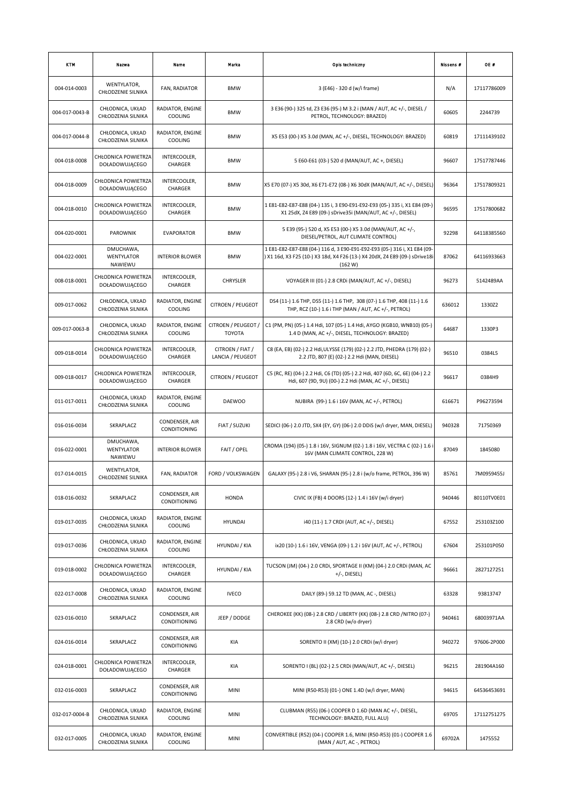| <b>KTM</b>     | Nazwa                                        | Name                               | Marka                                | Opls techniczny                                                                                                                                                     | Nissens # | OE #        |
|----------------|----------------------------------------------|------------------------------------|--------------------------------------|---------------------------------------------------------------------------------------------------------------------------------------------------------------------|-----------|-------------|
| 004-014-0003   | WENTYLATOR,<br>CHŁODZENIE SILNIKA            | FAN, RADIATOR                      | <b>BMW</b>                           | 3 (E46) - 320 d (w/i frame)                                                                                                                                         | N/A       | 17117786009 |
| 004-017-0043-B | CHŁODNICA, UKŁAD<br>CHŁODZENIA SILNIKA       | RADIATOR, ENGINE<br><b>COOLING</b> | <b>BMW</b>                           | 3 E36 (90-) 325 td, Z3 E36 (95-) M 3.2 i (MAN / AUT, AC +/-, DIESEL /<br>PETROL, TECHNOLOGY: BRAZED)                                                                | 60605     | 2244739     |
| 004-017-0044-B | CHŁODNICA, UKŁAD<br>CHŁODZENIA SILNIKA       | RADIATOR, ENGINE<br>COOLING        | BMW                                  | X5 E53 (00-) X5 3.0d (MAN, AC +/-, DIESEL, TECHNOLOGY: BRAZED)                                                                                                      | 60819     | 17111439102 |
| 004-018-0008   | CHŁODNICA POWIETRZA<br>DOŁADOWUJĄCEGO        | INTERCOOLER,<br>CHARGER            | <b>BMW</b>                           | 5 E60-E61 (03-) 520 d (MAN/AUT, AC +, DIESEL)                                                                                                                       | 96607     | 17517787446 |
| 004-018-0009   | CHŁODNICA POWIETRZA<br><b>DOŁADOWUJĄCEGO</b> | INTERCOOLER,<br>CHARGER            | <b>BMW</b>                           | X5 E70 (07-) X5 30d, X6 E71-E72 (08-) X6 30dX (MAN/AUT, AC +/-, DIESEL)                                                                                             | 96364     | 17517809321 |
| 004-018-0010   | CHŁODNICA POWIETRZA<br>DOŁADOWUJĄCEGO        | INTERCOOLER,<br>CHARGER            | <b>BMW</b>                           | 1 E81-E82-E87-E88 (04-) 135 i, 3 E90-E91-E92-E93 (05-) 335 i, X1 E84 (09-)<br>X1 25dX, Z4 E89 (09-) sDrive35i (MAN/AUT, AC +/-, DIESEL)                             | 96595     | 17517800682 |
| 004-020-0001   | PAROWNIK                                     | <b>EVAPORATOR</b>                  | <b>BMW</b>                           | 5 E39 (95-) 520 d, X5 E53 (00-) X5 3.0d (MAN/AUT, AC +/-,<br>DIESEL/PETROL, AUT CLIMATE CONTROL)                                                                    | 92298     | 64118385560 |
| 004-022-0001   | DMUCHAWA,<br>WENTYLATOR<br>NAWIEWU           | <b>INTERIOR BLOWER</b>             | BMW                                  | 1 E81-E82-E87-E88 (04-) 116 d, 3 E90-E91-E92-E93 (05-) 316 i, X1 E84 (09-<br>) X1 16d, X3 F25 (10-) X3 18d, X4 F26 (13-) X4 20dX, Z4 E89 (09-) sDrive18i<br>(162 W) | 87062     | 64116933663 |
| 008-018-0001   | CHŁODNICA POWIETRZA<br>DOŁADOWUJĄCEGO        | INTERCOOLER,<br>CHARGER            | CHRYSLER                             | VOYAGER III (01-) 2.8 CRDI (MAN/AUT, AC +/-, DIESEL)                                                                                                                | 96273     | 5142489AA   |
| 009-017-0062   | CHŁODNICA, UKŁAD<br>CHŁODZENIA SILNIKA       | RADIATOR, ENGINE<br>COOLING        | CITROEN / PEUGEOT                    | DS4 (11-) 1.6 THP, DS5 (11-) 1.6 THP, 308 (07-) 1.6 THP, 408 (11-) 1.6<br>THP, RCZ (10-) 1.6 i THP (MAN / AUT, AC +/-, PETROL)                                      | 636012    | 1330Z2      |
| 009-017-0063-B | CHŁODNICA, UKŁAD<br>CHŁODZENIA SILNIKA       | RADIATOR, ENGINE<br>COOLING        | CITROEN / PEUGEOT /<br><b>TOYOTA</b> | C1 (PM, PN) (05-) 1.4 Hdi, 107 (05-) 1.4 Hdi, AYGO (KGB10, WNB10) (05-)<br>1.4 D (MAN, AC +/-, DIESEL, TECHNOLOGY: BRAZED)                                          | 64687     | 1330P3      |
| 009-018-0014   | CHŁODNICA POWIETRZA<br>DOŁADOWUJĄCEGO        | INTERCOOLER,<br>CHARGER            | CITROEN / FIAT /<br>LANCIA / PEUGEOT | C8 (EA, EB) (02-) 2.2 Hdi, ULYSSE (179) (02-) 2.2 JTD, PHEDRA (179) (02-)<br>2.2 JTD, 807 (E) (02-) 2.2 Hdi (MAN, DIESEL)                                           | 96510     | 0384L5      |
| 009-018-0017   | CHŁODNICA POWIETRZA<br>DOŁADOWUJĄCEGO        | INTERCOOLER,<br>CHARGER            | CITROEN / PEUGEOT                    | C5 (RC, RE) (04-) 2.2 Hdi, C6 (TD) (05-) 2.2 Hdi, 407 (6D, 6C, 6E) (04-) 2.2<br>Hdi, 607 (9D, 9U) (00-) 2.2 Hdi (MAN, AC +/-, DIESEL)                               | 96617     | 0384H9      |
| 011-017-0011   | CHŁODNICA, UKŁAD<br>CHŁODZENIA SILNIKA       | RADIATOR, ENGINE<br>COOLING        | <b>DAEWOO</b>                        | NUBIRA (99-) 1.6 i 16V (MAN, AC +/-, PETROL)                                                                                                                        | 616671    | P96273594   |
| 016-016-0034   | SKRAPLACZ                                    | CONDENSER, AIR<br>CONDITIONING     | FIAT / SUZUKI                        | SEDICI (06-) 2.0 JTD, SX4 (EY, GY) (06-) 2.0 DDIS (w/i dryer, MAN, DIESEL)                                                                                          | 940328    | 71750369    |
| 016-022-0001   | DMUCHAWA,<br><b>WENTYLATOR</b><br>NAWIEWU    | <b>INTERIOR BLOWER</b>             | FAIT / OPEL                          | CROMA (194) (05-) 1.8 i 16V, SIGNUM (02-) 1.8 i 16V, VECTRA C (02-) 1.6 i<br>16V (MAN CLIMATE CONTROL, 228 W)                                                       | 87049     | 1845080     |
| 017-014-0015   | WENTYLATOR,<br>CHŁODZENIE SILNIKA            | FAN, RADIATOR                      | FORD / VOLKSWAGEN                    | GALAXY (95-) 2.8 i V6, SHARAN (95-) 2.8 i (w/o frame, PETROL, 396 W)                                                                                                | 85761     | 7M0959455J  |
| 018-016-0032   | SKRAPLACZ                                    | CONDENSER, AIR<br>CONDITIONING     | <b>HONDA</b>                         | CIVIC IX (FB) 4 DOORS (12-) 1.4 i 16V (w/i dryer)                                                                                                                   | 940446    | 80110TV0E01 |
| 019-017-0035   | CHŁODNICA, UKŁAD<br>CHŁODZENIA SILNIKA       | RADIATOR, ENGINE<br>COOLING        | <b>HYUNDAI</b>                       | i40 (11-) 1.7 CRDI (AUT, AC +/-, DIESEL)                                                                                                                            | 67552     | 253103Z100  |
| 019-017-0036   | CHŁODNICA, UKŁAD<br>CHŁODZENIA SILNIKA       | RADIATOR, ENGINE<br><b>COOLING</b> | <b>HYUNDAI / KIA</b>                 | ix20 (10-) 1.6 i 16V, VENGA (09-) 1.2 i 16V (AUT, AC +/-, PETROL)                                                                                                   | 67604     | 253101P050  |
| 019-018-0002   | CHŁODNICA POWIETRZA<br>DOŁADOWUJĄCEGO        | INTERCOOLER,<br>CHARGER            | <b>HYUNDAI / KIA</b>                 | TUCSON (JM) (04-) 2.0 CRDi, SPORTAGE II (KM) (04-) 2.0 CRDI (MAN, AC<br>$+/-$ , DIESEL)                                                                             | 96661     | 2827127251  |
| 022-017-0008   | CHŁODNICA, UKŁAD<br>CHŁODZENIA SILNIKA       | RADIATOR, ENGINE<br>COOLING        | <b>IVECO</b>                         | DAILY (89-) 59.12 TD (MAN, AC -, DIESEL)                                                                                                                            | 63328     | 93813747    |
| 023-016-0010   | SKRAPLACZ                                    | CONDENSER, AIR<br>CONDITIONING     | JEEP / DODGE                         | CHEROKEE (KK) (08-) 2.8 CRD / LIBERTY (KK) (08-) 2.8 CRD /NITRO (07-)<br>2.8 CRD (w/o dryer)                                                                        | 940461    | 68003971AA  |
| 024-016-0014   | SKRAPLACZ                                    | CONDENSER, AIR<br>CONDITIONING     | KIA                                  | SORENTO II (XM) (10-) 2.0 CRDi (w/i dryer)                                                                                                                          | 940272    | 97606-2P000 |
| 024-018-0001   | CHŁODNICA POWIETRZA<br>DOŁADOWUJĄCEGO        | INTERCOOLER,<br>CHARGER            | KIA                                  | SORENTO I (BL) (02-) 2.5 CRDI (MAN/AUT, AC +/-, DIESEL)                                                                                                             | 96215     | 281904A160  |
| 032-016-0003   | SKRAPLACZ                                    | CONDENSER, AIR<br>CONDITIONING     | MINI                                 | MINI (R50-R53) (01-) ONE 1.4D (w/i dryer, MAN)                                                                                                                      | 94615     | 64536453691 |
| 032-017-0004-B | CHŁODNICA, UKŁAD<br>CHŁODZENIA SILNIKA       | RADIATOR, ENGINE<br><b>COOLING</b> | MINI                                 | CLUBMAN (R55) (06-) COOPER D 1.6D (MAN AC +/-, DIESEL,<br>TECHNOLOGY: BRAZED, FULL ALU)                                                                             | 69705     | 17112751275 |
| 032-017-0005   | CHŁODNICA, UKŁAD<br>CHŁODZENIA SILNIKA       | RADIATOR, ENGINE<br>COOLING        | MINI                                 | CONVERTIBLE (R52) (04-) COOPER 1.6, MINI (R50-R53) (01-) COOPER 1.6<br>(MAN / AUT, AC -, PETROL)                                                                    | 69702A    | 1475552     |